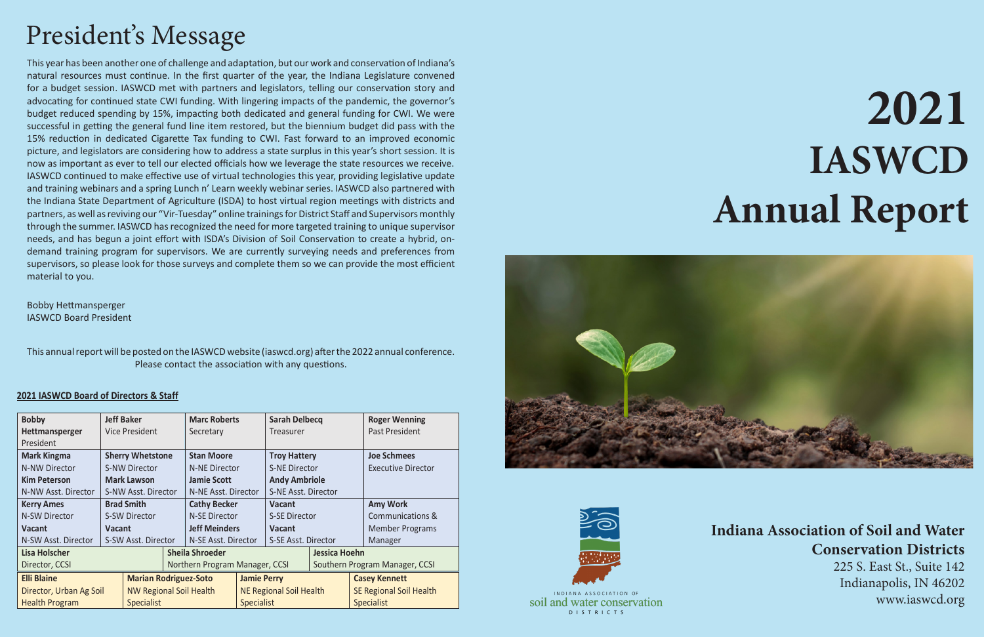#### **2021 IASWCD Board of Directors & Staff**

| <b>Bobby</b>            | <b>Jeff Baker</b>              |                                |                              | <b>Marc Roberts</b>  |                                | <b>Sarah Delbecq</b> |                                |                      | <b>Roger Wenning</b>      |  |
|-------------------------|--------------------------------|--------------------------------|------------------------------|----------------------|--------------------------------|----------------------|--------------------------------|----------------------|---------------------------|--|
| Hettmansperger          | Vice President                 |                                |                              | Secretary            |                                | Treasurer            |                                |                      | Past President            |  |
| President               |                                |                                |                              |                      |                                |                      |                                |                      |                           |  |
| <b>Mark Kingma</b>      | <b>Sherry Whetstone</b>        |                                |                              | <b>Stan Moore</b>    |                                | <b>Troy Hattery</b>  |                                |                      | <b>Joe Schmees</b>        |  |
| <b>N-NW Director</b>    | <b>S-NW Director</b>           |                                |                              | N-NE Director        |                                | <b>S-NE Director</b> |                                |                      | <b>Executive Director</b> |  |
| <b>Kim Peterson</b>     | <b>Mark Lawson</b>             |                                |                              | <b>Jamie Scott</b>   |                                | <b>Andy Ambriole</b> |                                |                      |                           |  |
| N-NW Asst. Director     | S-NW Asst. Director            |                                |                              | N-NE Asst. Director  |                                | S-NE Asst. Director  |                                |                      |                           |  |
| <b>Kerry Ames</b>       | <b>Brad Smith</b>              |                                |                              | <b>Cathy Becker</b>  |                                | <b>Vacant</b>        |                                |                      | <b>Amy Work</b>           |  |
| N-SW Director           | <b>S-SW Director</b>           |                                |                              | <b>N-SE Director</b> |                                | <b>S-SE Director</b> |                                |                      | Communications &          |  |
| Vacant                  | <b>Vacant</b>                  |                                |                              | <b>Jeff Meinders</b> |                                | <b>Vacant</b>        |                                |                      | <b>Member Programs</b>    |  |
| N-SW Asst. Director     | S-SW Asst. Director            |                                |                              | N-SE Asst. Director  |                                | S-SE Asst. Director  |                                |                      | Manager                   |  |
| <b>Lisa Holscher</b>    |                                |                                | <b>Sheila Shroeder</b>       |                      |                                |                      | Jessica Hoehn                  |                      |                           |  |
| Director, CCSI          |                                | Northern Program Manager, CCSI |                              |                      |                                |                      | Southern Program Manager, CCSI |                      |                           |  |
| <b>Elli Blaine</b>      |                                |                                | <b>Marian Rodriguez-Soto</b> |                      | <b>Jamie Perry</b>             |                      |                                | <b>Casey Kennett</b> |                           |  |
| Director, Urban Ag Soil | <b>NW Regional Soil Health</b> |                                |                              |                      | <b>NE Regional Soil Health</b> |                      | <b>SE Regional Soil Health</b> |                      |                           |  |
| <b>Health Program</b>   |                                | <b>Specialist</b>              |                              |                      | <b>Specialist</b>              |                      |                                |                      | <b>Specialist</b>         |  |





INDIANA ASSOCIATION O soil and water conservation **DISTRICTS** 

# **2021 IASWCD Annual Report**

### **Indiana Association of Soil and Water Conservation Districts**

225 S. East St., Suite 142 Indianapolis, IN 46202 www.iaswcd.org

## President's Message

This year has been another one of challenge and adaptation, but our work and conservation of Indiana's natural resources must continue. In the first quarter of the year, the Indiana Legislature convened for a budget session. IASWCD met with partners and legislators, telling our conservation story and advocating for continued state CWI funding. With lingering impacts of the pandemic, the governor's budget reduced spending by 15%, impacting both dedicated and general funding for CWI. We were successful in getting the general fund line item restored, but the biennium budget did pass with the 15% reduction in dedicated Cigarette Tax funding to CWI. Fast forward to an improved economic picture, and legislators are considering how to address a state surplus in this year's short session. It is now as important as ever to tell our elected officials how we leverage the state resources we receive. IASWCD continued to make effective use of virtual technologies this year, providing legislative update and training webinars and a spring Lunch n' Learn weekly webinar series. IASWCD also partnered with the Indiana State Department of Agriculture (ISDA) to host virtual region meetings with districts and partners, as well as reviving our "Vir-Tuesday" online trainings for District Staff and Supervisors monthly through the summer. IASWCD has recognized the need for more targeted training to unique supervisor needs, and has begun a joint effort with ISDA's Division of Soil Conservation to create a hybrid, ondemand training program for supervisors. We are currently surveying needs and preferences from supervisors, so please look for those surveys and complete them so we can provide the most efficient material to you.

This annual report will be posted on the IASWCD website (iaswcd.org) after the 2022 annual conference. Please contact the association with any questions.

Bobby Hettmansperger IASWCD Board President